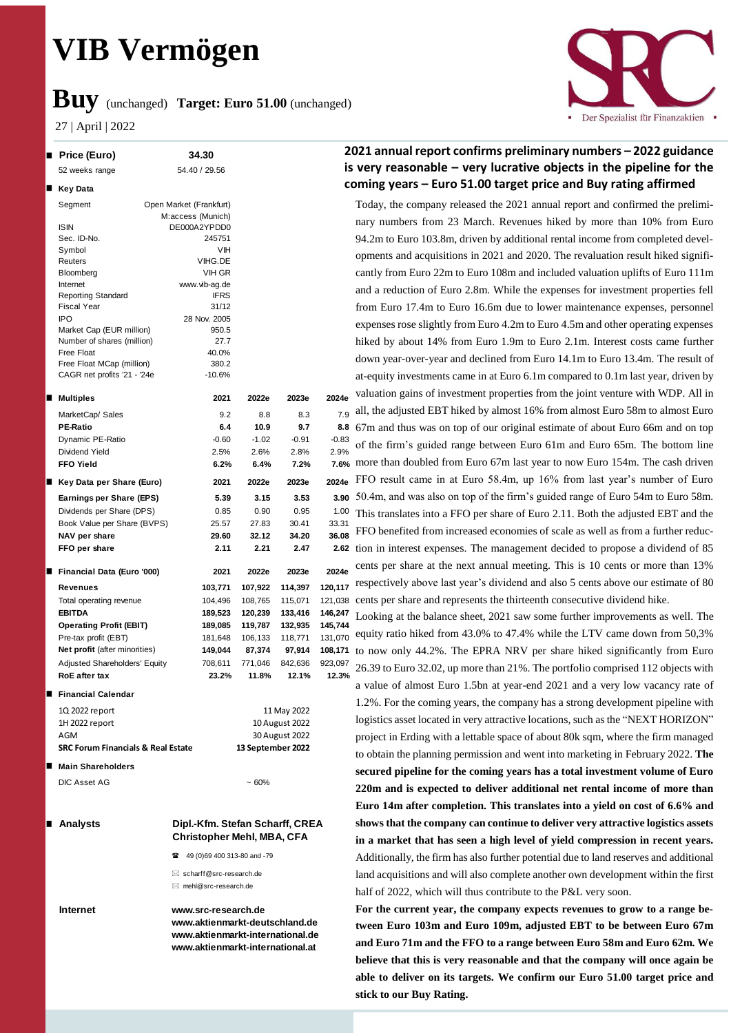# **VIB Vermögen**

## **Buy** (unchanged) **Target: Euro 51.00** (unchanged)

27 | April | 2022



## **2021 annual report confirms preliminary numbers – 2022 guidance is very reasonable – very lucrative objects in the pipeline for the coming years – Euro 51.00 target price and Buy rating affirmed**

Today, the company released the 2021 annual report and confirmed the preliminary numbers from 23 March. Revenues hiked by more than 10% from Euro 94.2m to Euro 103.8m, driven by additional rental income from completed developments and acquisitions in 2021 and 2020. The revaluation result hiked significantly from Euro 22m to Euro 108m and included valuation uplifts of Euro 111m and a reduction of Euro 2.8m. While the expenses for investment properties fell from Euro 17.4m to Euro 16.6m due to lower maintenance expenses, personnel expenses rose slightly from Euro 4.2m to Euro 4.5m and other operating expenses hiked by about 14% from Euro 1.9m to Euro 2.1m. Interest costs came further down year-over-year and declined from Euro 14.1m to Euro 13.4m. The result of at-equity investments came in at Euro 6.1m compared to 0.1m last year, driven by valuation gains of investment properties from the joint venture with WDP. All in all, the adjusted EBT hiked by almost 16% from almost Euro 58m to almost Euro 67m and thus was on top of our original estimate of about Euro 66m and on top of the firm's guided range between Euro 61m and Euro 65m. The bottom line more than doubled from Euro 67m last year to now Euro 154m. The cash driven FFO result came in at Euro 58.4m, up 16% from last year's number of Euro 50.4m, and was also on top of the firm's guided range of Euro 54m to Euro 58m. This translates into a FFO per share of Euro 2.11. Both the adjusted EBT and the FFO benefited from increased economies of scale as well as from a further reduction in interest expenses. The management decided to propose a dividend of 85 cents per share at the next annual meeting. This is 10 cents or more than 13% respectively above last year's dividend and also 5 cents above our estimate of 80 cents per share and represents the thirteenth consecutive dividend hike.

Looking at the balance sheet, 2021 saw some further improvements as well. The equity ratio hiked from 43.0% to 47.4% while the LTV came down from 50,3% to now only 44.2%. The EPRA NRV per share hiked significantly from Euro 26.39 to Euro 32.02, up more than 21%. The portfolio comprised 112 objects with a value of almost Euro 1.5bn at year-end 2021 and a very low vacancy rate of 1.2%. For the coming years, the company has a strong development pipeline with logistics asset located in very attractive locations, such as the "NEXT HORIZON" project in Erding with a lettable space of about 80k sqm, where the firm managed to obtain the planning permission and went into marketing in February 2022. **The secured pipeline for the coming years has a total investment volume of Euro 220m and is expected to deliver additional net rental income of more than Euro 14m after completion. This translates into a yield on cost of 6.6% and shows that the company can continue to deliver very attractive logistics assets in a market that has seen a high level of yield compression in recent years.** Additionally, the firm has also further potential due to land reserves and additional land acquisitions and will also complete another own development within the first half of 2022, which will thus contribute to the P&L very soon.

**For the current year, the company expects revenues to grow to a range between Euro 103m and Euro 109m, adjusted EBT to be between Euro 67m and Euro 71m and the FFO to a range between Euro 58m and Euro 62m. We believe that this is very reasonable and that the company will once again be able to deliver on its targets. We confirm our Euro 51.00 target price and stick to our Buy Rating.**

| ■ Price (Euro)                                | 34.30                                     |                                                               |                | ∠       |  |  |
|-----------------------------------------------|-------------------------------------------|---------------------------------------------------------------|----------------|---------|--|--|
| 52 weeks range                                | 54.40 / 29.56                             |                                                               |                | İS      |  |  |
| ■ Key Data                                    |                                           |                                                               |                | C٥      |  |  |
| Segment                                       | Open Market (Frankfurt)                   |                                                               |                |         |  |  |
|                                               | M:access (Munich)                         |                                                               |                |         |  |  |
| <b>ISIN</b>                                   | DE000A2YPDD0                              |                                                               |                |         |  |  |
| Sec. ID-No.                                   | 245751                                    |                                                               |                |         |  |  |
| Symbol                                        | VIH                                       |                                                               |                |         |  |  |
| Reuters                                       | VIHG.DE                                   |                                                               |                |         |  |  |
| Bloomberg                                     | VIH GR                                    |                                                               |                |         |  |  |
| Internet                                      | www.vib-ag.de                             |                                                               |                |         |  |  |
| <b>Reporting Standard</b>                     | <b>IFRS</b>                               |                                                               |                |         |  |  |
| <b>Fiscal Year</b>                            | 31/12                                     |                                                               |                |         |  |  |
| <b>IPO</b>                                    | 28 Nov. 2005                              |                                                               |                |         |  |  |
| Market Cap (EUR million)                      | 950.5                                     |                                                               |                |         |  |  |
| Number of shares (million)                    | 27.7                                      |                                                               |                |         |  |  |
| Free Float                                    | 40.0%                                     |                                                               |                |         |  |  |
| Free Float MCap (million)                     | 380.2                                     |                                                               |                |         |  |  |
| CAGR net profits '21 - '24e                   | $-10.6%$                                  |                                                               |                |         |  |  |
| ■ Multiples                                   | 2021                                      | 2022e                                                         | 2023e          | 2024e   |  |  |
| MarketCap/ Sales                              | 9.2                                       | 8.8                                                           | 8.3            | 7.9     |  |  |
| <b>PE-Ratio</b>                               | 6.4                                       | 10.9                                                          | 9.7            | 8.8     |  |  |
| Dynamic PE-Ratio                              | $-0.60$                                   | $-1.02$                                                       | $-0.91$        | $-0.83$ |  |  |
| Dividend Yield                                | 2.5%                                      | 2.6%                                                          | 2.8%           | 2.9%    |  |  |
| <b>FFO Yield</b>                              | 6.2%                                      | 6.4%                                                          | 7.2%           | 7.6%    |  |  |
| ■ Key Data per Share (Euro)                   | 2021                                      | 2022e                                                         | 2023e          | 2024e   |  |  |
| Earnings per Share (EPS)                      | 5.39                                      | 3.15                                                          | 3.53           | 3.90    |  |  |
| Dividends per Share (DPS)                     | 0.85                                      | 0.90                                                          | 0.95           | 1.00    |  |  |
| Book Value per Share (BVPS)                   | 25.57                                     | 27.83                                                         | 30.41          | 33.31   |  |  |
| NAV per share                                 | 29.60                                     | 32.12                                                         | 34.20          | 36.08   |  |  |
|                                               | 2.11                                      | 2.21                                                          | 2.47           | 2.62    |  |  |
| FFO per share                                 |                                           |                                                               |                |         |  |  |
| Financial Data (Euro '000)                    | 2021                                      | 2022e                                                         | 2023e          | 2024e   |  |  |
| <b>Revenues</b>                               | 103,771                                   | 107,922                                                       | 114,397        | 120,117 |  |  |
| Total operating revenue                       | 104,496                                   | 108,765                                                       | 115,071        | 121,038 |  |  |
| <b>EBITDA</b>                                 | 189,523                                   | 120,239                                                       | 133,416        | 146,247 |  |  |
| <b>Operating Profit (EBIT)</b>                | 189,085                                   | 119,787                                                       | 132,935        | 145,744 |  |  |
| Pre-tax profit (EBT)                          | 181,648                                   | 106,133                                                       | 118,771        | 131,070 |  |  |
| Net profit (after minorities)                 | 149,044                                   | 87,374                                                        | 97,914         |         |  |  |
|                                               |                                           |                                                               |                | 108,171 |  |  |
| Adjusted Shareholders' Equity                 | 708,611                                   | 771,046                                                       | 842,636        | 923,097 |  |  |
| <b>RoE</b> after tax                          | 23.2%                                     | 11.8%                                                         | 12.1%          | 12.3%   |  |  |
| Financial Calendar                            |                                           |                                                               |                |         |  |  |
| 1Q 2022 report                                |                                           |                                                               | 11 May 2022    |         |  |  |
| 1H 2022 report                                |                                           |                                                               | 10 August 2022 |         |  |  |
| AGM                                           |                                           |                                                               | 30 August 2022 |         |  |  |
| <b>SRC Forum Financials &amp; Real Estate</b> |                                           | 13 September 2022                                             |                |         |  |  |
| ■ Main Shareholders                           |                                           |                                                               |                |         |  |  |
| <b>DIC Asset AG</b>                           |                                           | ~100%                                                         |                |         |  |  |
|                                               |                                           |                                                               |                |         |  |  |
|                                               |                                           |                                                               |                |         |  |  |
| ∎ Analysts                                    | Dipl.-Kfm. Stefan Scharff, CREA           |                                                               |                |         |  |  |
|                                               | <sup>2</sup> 49 (0) 69 400 313-80 and -79 | <b>Christopher Mehl, MBA, CFA</b>                             |                |         |  |  |
|                                               |                                           |                                                               |                |         |  |  |
|                                               |                                           | $\boxtimes$ scharff@src-research.de<br>⊠ mehl@src-research.de |                |         |  |  |
|                                               |                                           |                                                               |                |         |  |  |
| Internet                                      | www.src-research.de                       |                                                               |                |         |  |  |

**www.aktienmarkt-deutschland.de www.aktienmarkt-international.de www.aktienmarkt-international.at**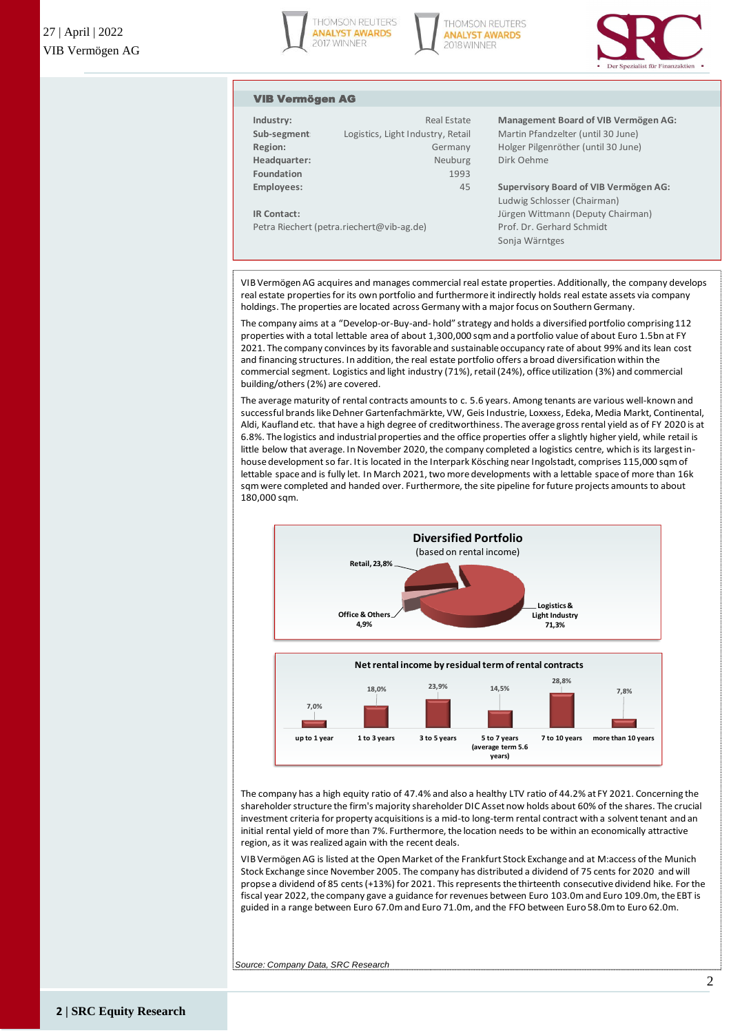





#### VIB Vermögen AG

| Industry:         | <b>Real Estate</b>                |
|-------------------|-----------------------------------|
| Sub-segment       | Logistics, Light Industry, Retail |
| Region:           | Germany                           |
| Headquarter:      | Neuburg                           |
| <b>Foundation</b> | 1993                              |
| Employees:        | 45                                |
|                   |                                   |

**Management Board of VIB Vermögen AG: Martin Pfandzelter (until 30 June) Region:** Germany Holger Pilgenröther (until 30 June) **Dirk Oehme** 

**Employees:** 45 **Supervisory Board of VIB Vermögen AG:** Ludwig Schlosser (Chairman) **IR Contact:** Jürgen Wittmann (Deputy Chairman) Petra Riechert (petra.riechert@vib-ag.de) Prof. Dr. Gerhard Schmidt Sonja Wärntges

VIB Vermögen AG acquires and manages commercial real estate properties. Additionally, the company develops real estate properties for its own portfolio and furthermore it indirectly holds real estate assets via company holdings. The properties are located across Germany with a major focus on Southern Germany.

The company aims at a "Develop-or-Buy-and- hold" strategy and holds a diversified portfolio comprising 112 properties with a total lettable area of about 1,300,000 sqm and a portfolio value of about Euro 1.5bn at FY 2021. The company convinces by its favorable and sustainable occupancy rate of about 99% and its lean cost and financing structures. In addition, the real estate portfolio offers a broad diversification within the holdings. The properties are located across Germany with a major focus on Southern Germany.<br>The company aims at a "Develop-or-Buy-and-hold" strategy and holds a diversified portfolio comprising 11<br>properties with a total l building/others (2%) are covered.

The average maturity of rental contracts amounts to c. 5.6 years. Among tenants are various well-known and successful brands like Dehner Gartenfachmärkte, VW, Geis Industrie, Loxxess, Edeka, Media Markt, Continental, Aldi, Kaufland etc. that have a high degree of creditworthiness. The average gross rental yield as of FY 2020 is at 6.8%. The logistics and industrial properties and the office properties offer a slightly higher yield, while retail is little below that average. In November 2020, the company completed a logistics centre, which is its largest inhouse development so far. It is located in the Interpark Kösching near Ingolstadt, comprises 115,000 sqm of successful brands like Dehner Gartenfachmärkte, VW, Geis Industrie, Loxxess, Edeka, Media Markt, Continenta<br>Aldi, Kaufland etc. that have a high degree of creditworthiness. The average gross rental yield as of FY 2020 is<br>6 sqm were completed and handed over. Furthermore, the site pipeline for future projects amounts to about 180,000 sqm.



The company has a high equity ratio of 47.4% and also a healthy LTV ratio of 44.2% at FY 2021. Concerning the investment criteria for property acquisitions is a mid-to long-term rental contract with a solvent tenant and an initial rental yield of more than 7%. Furthermore, the location needs to be within an economically attractive region, as it was realized again with the recent deals.

VIB Vermögen AG is listed at the Open Market of the Frankfurt Stock Exchange and at M:access of the Munich Stock Exchange since November 2005. The company has distributed a dividend of 75 cents for 2020 and will propse a dividend of 85 cents (+13%) for 2021. This represents the thirteenth consecutive dividend hike. For the fiscal year 2022, the company gave a guidance for revenues between Euro 103.0m and Euro 109.0m, the EBT is guided in a range between Euro 67.0m and Euro 71.0m, and the FFO between Euro 58.0m to Euro 62.0m.

*Source: Company Data, SRC Research*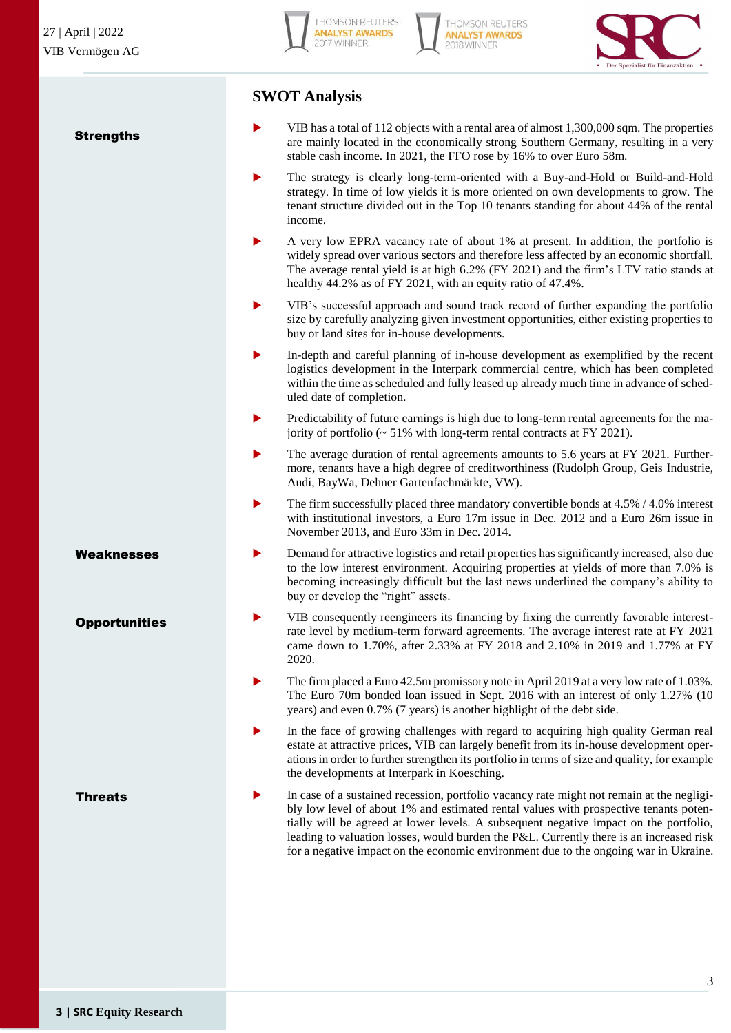**Strengths** 







## **SWOT Analysis**

- VIB has a total of 112 objects with a rental area of almost 1,300,000 sqm. The properties are mainly located in the economically strong Southern Germany, resulting in a very stable cash income. In 2021, the FFO rose by 16% to over Euro 58m.
- The strategy is clearly long-term-oriented with a Buy-and-Hold or Build-and-Hold strategy. In time of low yields it is more oriented on own developments to grow. The tenant structure divided out in the Top 10 tenants standing for about 44% of the rental income.
- A very low EPRA vacancy rate of about 1% at present. In addition, the portfolio is widely spread over various sectors and therefore less affected by an economic shortfall. The average rental yield is at high 6.2% (FY 2021) and the firm's LTV ratio stands at healthy 44.2% as of FY 2021, with an equity ratio of 47.4%.
- VIB's successful approach and sound track record of further expanding the portfolio size by carefully analyzing given investment opportunities, either existing properties to buy or land sites for in-house developments.
- In-depth and careful planning of in-house development as exemplified by the recent logistics development in the Interpark commercial centre, which has been completed within the time as scheduled and fully leased up already much time in advance of scheduled date of completion.
- Predictability of future earnings is high due to long-term rental agreements for the majority of portfolio  $\sim$  51% with long-term rental contracts at FY 2021).
- The average duration of rental agreements amounts to 5.6 years at FY 2021. Furthermore, tenants have a high degree of creditworthiness (Rudolph Group, Geis Industrie, Audi, BayWa, Dehner Gartenfachmärkte, VW).
- The firm successfully placed three mandatory convertible bonds at 4.5% / 4.0% interest with institutional investors, a Euro 17m issue in Dec. 2012 and a Euro 26m issue in November 2013, and Euro 33m in Dec. 2014.
- Demand for attractive logistics and retail properties has significantly increased, also due to the low interest environment. Acquiring properties at yields of more than 7.0% is becoming increasingly difficult but the last news underlined the company's ability to buy or develop the "right" assets.
- VIB consequently reengineers its financing by fixing the currently favorable interestrate level by medium-term forward agreements. The average interest rate at FY 2021 came down to 1.70%, after 2.33% at FY 2018 and 2.10% in 2019 and 1.77% at FY 2020.
- The firm placed a Euro 42.5m promissory note in April 2019 at a very low rate of 1.03%. The Euro 70m bonded loan issued in Sept. 2016 with an interest of only 1.27% (10 years) and even 0.7% (7 years) is another highlight of the debt side.
- In the face of growing challenges with regard to acquiring high quality German real estate at attractive prices, VIB can largely benefit from its in-house development operations in order to further strengthen its portfolio in terms of size and quality, for example the developments at Interpark in Koesching.
- In case of a sustained recession, portfolio vacancy rate might not remain at the negligibly low level of about 1% and estimated rental values with prospective tenants potentially will be agreed at lower levels. A subsequent negative impact on the portfolio, leading to valuation losses, would burden the P&L. Currently there is an increased risk for a negative impact on the economic environment due to the ongoing war in Ukraine.

Weaknesses

**Opportunities** 

**Threats**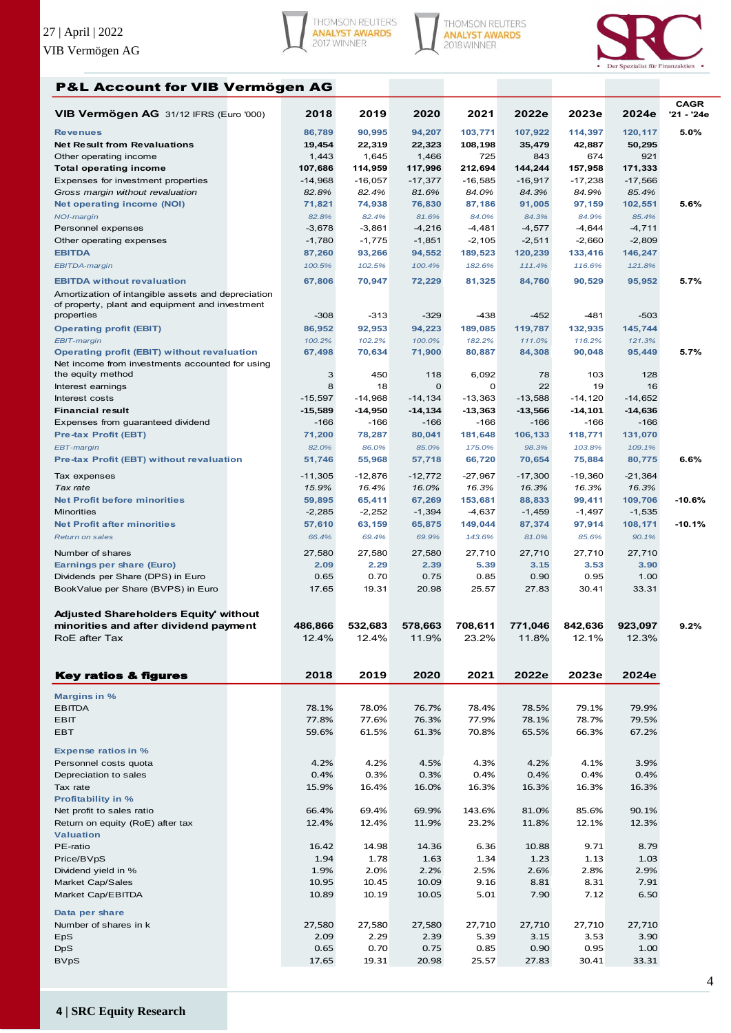





## P&L Account for VIB Vermögen AG

| VIB Vermögen AG 31/12 IFRS (Euro '000)                                 | 2018               | 2019                   | 2020                     | 2021                   | 2022e              | 2023e                  | 2024e                  | <b>CAGR</b><br>'21 - '24e |
|------------------------------------------------------------------------|--------------------|------------------------|--------------------------|------------------------|--------------------|------------------------|------------------------|---------------------------|
| <b>Revenues</b>                                                        | 86,789             | 90,995                 | 94,207                   | 103,771                | 107,922            | 114,397                | 120,117                | 5.0%                      |
| <b>Net Result from Revaluations</b>                                    | 19,454             | 22,319                 | 22,323                   | 108,198                | 35,479             | 42,887                 | 50,295                 |                           |
| Other operating income                                                 | 1,443              | 1,645                  | 1,466                    | 725                    | 843                | 674                    | 921                    |                           |
| <b>Total operating income</b>                                          | 107,686            | 114,959                | 117,996                  | 212,694                | 144,244            | 157,958                | 171,333                |                           |
| Expenses for investment properties<br>Gross margin without revaluation | $-14,968$<br>82.8% | $-16,057$<br>82.4%     | $-17,377$<br>81.6%       | $-16,585$<br>84.0%     | $-16,917$<br>84.3% | $-17,238$<br>84.9%     | $-17,566$<br>85.4%     |                           |
| <b>Net operating income (NOI)</b>                                      | 71,821             | 74,938                 | 76,830                   | 87,186                 | 91,005             | 97,159                 | 102,551                | 5.6%                      |
| <b>NOI-margin</b>                                                      | 82.8%              | 82.4%                  | 81.6%                    | 84.0%                  | 84.3%              | 84.9%                  | 85.4%                  |                           |
| Personnel expenses                                                     | $-3,678$           | $-3,861$               | $-4,216$                 | $-4,481$               | $-4,577$           | $-4,644$               | $-4,711$               |                           |
| Other operating expenses                                               | $-1,780$           | $-1,775$               | $-1,851$                 | $-2,105$               | $-2,511$           | $-2,660$               | $-2,809$               |                           |
| <b>EBITDA</b>                                                          | 87,260             | 93,266                 | 94,552                   | 189,523                | 120,239            | 133,416                | 146,247                |                           |
| EBITDA-margin                                                          | 100.5%             | 102.5%                 | 100.4%                   | 182.6%                 | 111.4%             | 116.6%                 | 121.8%                 |                           |
| <b>EBITDA</b> without revaluation                                      | 67,806             | 70,947                 | 72,229                   | 81,325                 | 84,760             | 90,529                 | 95,952                 | 5.7%                      |
| Amortization of intangible assets and depreciation                     |                    |                        |                          |                        |                    |                        |                        |                           |
| of property, plant and equipment and investment<br>properties          | $-308$             | $-313$                 | $-329$                   | $-438$                 | $-452$             | -481                   | $-503$                 |                           |
| <b>Operating profit (EBIT)</b>                                         | 86,952             | 92,953                 | 94,223                   | 189,085                | 119,787            | 132,935                | 145,744                |                           |
| <b>EBIT-margin</b>                                                     | 100.2%             | 102.2%                 | 100.0%                   | 182.2%                 | 111.0%             | 116.2%                 | 121.3%                 |                           |
| <b>Operating profit (EBIT) without revaluation</b>                     | 67,498             | 70,634                 | 71,900                   | 80,887                 | 84,308             | 90,048                 | 95,449                 | 5.7%                      |
| Net income from investments accounted for using                        |                    |                        |                          |                        |                    |                        |                        |                           |
| the equity method                                                      | 3                  | 450                    | 118                      | 6,092                  | 78                 | 103                    | 128                    |                           |
| Interest earnings                                                      | 8<br>$-15.597$     | 18                     | $\mathbf 0$              | 0                      | 22<br>$-13.588$    | 19                     | 16                     |                           |
| Interest costs<br><b>Financial result</b>                              | $-15,589$          | $-14,968$<br>$-14,950$ | $-14, 134$<br>$-14, 134$ | $-13,363$<br>$-13,363$ | $-13,566$          | $-14,120$<br>$-14,101$ | $-14,652$<br>$-14,636$ |                           |
| Expenses from guaranteed dividend                                      | $-166$             | $-166$                 | $-166$                   | -166                   | -166               | -166                   | $-166$                 |                           |
| <b>Pre-tax Profit (EBT)</b>                                            | 71,200             | 78,287                 | 80,041                   | 181,648                | 106,133            | 118,771                | 131,070                |                           |
| EBT-margin                                                             | 82.0%              | 86.0%                  | 85.0%                    | 175.0%                 | 98.3%              | 103.8%                 | 109.1%                 |                           |
| Pre-tax Profit (EBT) without revaluation                               | 51,746             | 55,968                 | 57,718                   | 66,720                 | 70,654             | 75,884                 | 80,775                 | 6.6%                      |
| Tax expenses                                                           | $-11,305$          | $-12,876$              | $-12,772$                | $-27,967$              | $-17,300$          | $-19,360$              | $-21,364$              |                           |
| Tax rate                                                               | 15.9%              | 16.4%                  | 16.0%                    | 16.3%                  | 16.3%              | 16.3%                  | 16.3%                  |                           |
| <b>Net Profit before minorities</b>                                    | 59,895             | 65,411                 | 67,269                   | 153,681                | 88,833             | 99,411                 | 109,706                | $-10.6%$                  |
| <b>Minorities</b>                                                      | $-2,285$           | $-2,252$               | $-1,394$                 | $-4,637$               | $-1,459$           | $-1,497$               | $-1,535$               |                           |
| <b>Net Profit after minorities</b>                                     | 57,610             | 63,159                 | 65,875                   | 149,044                | 87,374             | 97,914                 | 108,171                | $-10.1%$                  |
| Return on sales                                                        | 66.4%              | 69.4%                  | 69.9%                    | 143.6%                 | 81.0%              | 85.6%                  | 90.1%                  |                           |
| Number of shares                                                       | 27,580             | 27,580                 | 27,580                   | 27,710                 | 27,710             | 27,710                 | 27,710                 |                           |
| Earnings per share (Euro)                                              | 2.09               | 2.29                   | 2.39                     | 5.39                   | 3.15               | 3.53                   | 3.90                   |                           |
| Dividends per Share (DPS) in Euro                                      | 0.65               | 0.70                   | 0.75                     | 0.85                   | 0.90               | 0.95                   | 1.00                   |                           |
| BookValue per Share (BVPS) in Euro                                     | 17.65              | 19.31                  | 20.98                    | 25.57                  | 27.83              | 30.41                  | 33.31                  |                           |
| <b>Adjusted Shareholders Equity' without</b>                           |                    |                        |                          |                        |                    |                        |                        |                           |
| minorities and after dividend payment                                  | 486,866            | 532.683                | 578,663                  | 708,611                | 771,046            | 842,636                | 923,097                | 9.2%                      |
| RoE after Tax                                                          | 12.4%              | 12.4%                  | 11.9%                    | 23.2%                  | 11.8%              | 12.1%                  | 12.3%                  |                           |
|                                                                        |                    |                        |                          |                        |                    |                        |                        |                           |
|                                                                        |                    |                        |                          |                        |                    |                        |                        |                           |
| <b>Key ratios &amp; figures</b>                                        | 2018               | 2019                   | 2020                     | 2021                   | 2022e              | 2023e                  | 2024e                  |                           |
| <b>Margins in %</b>                                                    |                    |                        |                          |                        |                    |                        |                        |                           |
| <b>EBITDA</b>                                                          | 78.1%              | 78.0%                  | 76.7%                    | 78.4%                  | 78.5%              | 79.1%                  | 79.9%                  |                           |
| <b>EBIT</b>                                                            | 77.8%              | 77.6%                  | 76.3%                    | 77.9%                  | 78.1%              | 78.7%                  | 79.5%                  |                           |
| EBT                                                                    | 59.6%              | 61.5%                  | 61.3%                    | 70.8%                  | 65.5%              | 66.3%                  | 67.2%                  |                           |
|                                                                        |                    |                        |                          |                        |                    |                        |                        |                           |
| <b>Expense ratios in %</b><br>Personnel costs quota                    | 4.2%               | 4.2%                   | 4.5%                     | 4.3%                   | 4.2%               | 4.1%                   | 3.9%                   |                           |
| Depreciation to sales                                                  | 0.4%               | 0.3%                   | 0.3%                     | 0.4%                   | 0.4%               | 0.4%                   | 0.4%                   |                           |
| Tax rate                                                               | 15.9%              | 16.4%                  | 16.0%                    | 16.3%                  | 16.3%              | 16.3%                  | 16.3%                  |                           |
| <b>Profitability in %</b>                                              |                    |                        |                          |                        |                    |                        |                        |                           |
| Net profit to sales ratio                                              | 66.4%              | 69.4%                  | 69.9%                    | 143.6%                 | 81.0%              | 85.6%                  | 90.1%                  |                           |
| Return on equity (RoE) after tax                                       | 12.4%              | 12.4%                  | 11.9%                    | 23.2%                  | 11.8%              | 12.1%                  | 12.3%                  |                           |
| <b>Valuation</b>                                                       |                    |                        |                          |                        |                    |                        |                        |                           |
| PE-ratio<br>Price/BVpS                                                 | 16.42<br>1.94      | 14.98<br>1.78          | 14.36<br>1.63            | 6.36<br>1.34           | 10.88<br>1.23      | 9.71<br>1.13           | 8.79<br>1.03           |                           |
| Dividend yield in %                                                    | 1.9%               | 2.0%                   | 2.2%                     | 2.5%                   | 2.6%               | 2.8%                   | 2.9%                   |                           |
| Market Cap/Sales                                                       | 10.95              | 10.45                  | 10.09                    | 9.16                   | 8.81               | 8.31                   | 7.91                   |                           |
| Market Cap/EBITDA                                                      | 10.89              | 10.19                  | 10.05                    | 5.01                   | 7.90               | 7.12                   | 6.50                   |                           |
| Data per share                                                         |                    |                        |                          |                        |                    |                        |                        |                           |
| Number of shares in k                                                  | 27,580             | 27,580                 | 27,580                   | 27,710                 | 27,710             | 27,710                 | 27,710                 |                           |
| EpS                                                                    | 2.09               | 2.29                   | 2.39                     | 5.39                   | 3.15               | 3.53                   | 3.90                   |                           |
| <b>DpS</b>                                                             | 0.65               | 0.70                   | 0.75                     | 0.85                   | 0.90               | 0.95                   | 1.00                   |                           |
| <b>BVpS</b>                                                            | 17.65              | 19.31                  | 20.98                    | 25.57                  | 27.83              | 30.41                  | 33.31                  |                           |
|                                                                        |                    |                        |                          |                        |                    |                        |                        |                           |